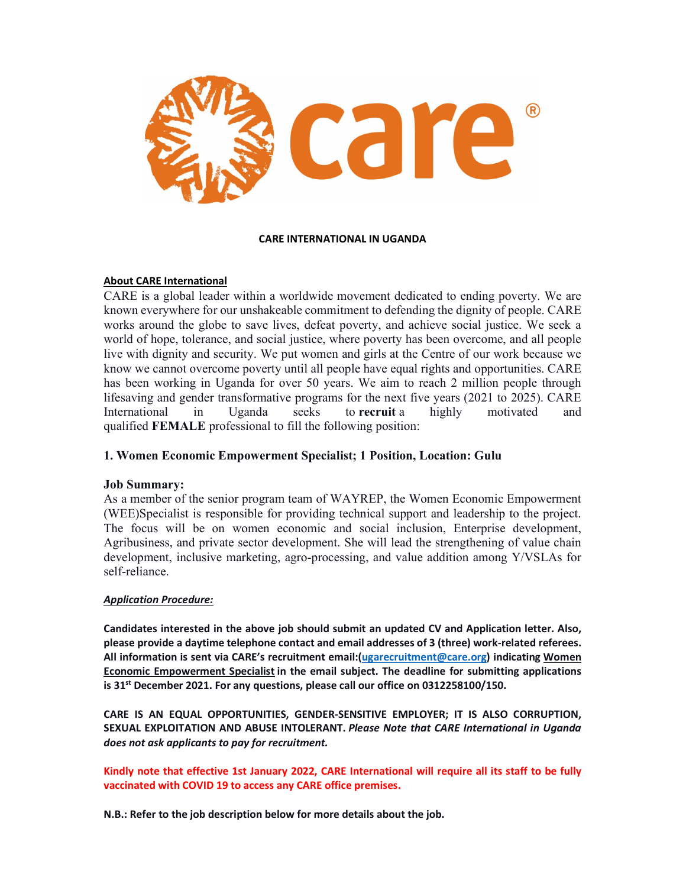

### CARE INTERNATIONAL IN UGANDA

## About CARE International

CARE is a global leader within a worldwide movement dedicated to ending poverty. We are known everywhere for our unshakeable commitment to defending the dignity of people. CARE works around the globe to save lives, defeat poverty, and achieve social justice. We seek a world of hope, tolerance, and social justice, where poverty has been overcome, and all people live with dignity and security. We put women and girls at the Centre of our work because we know we cannot overcome poverty until all people have equal rights and opportunities. CARE has been working in Uganda for over 50 years. We aim to reach 2 million people through lifesaving and gender transformative programs for the next five years (2021 to 2025). CARE International in Uganda seeks to recruit a highly motivated and qualified FEMALE professional to fill the following position:

# 1. Women Economic Empowerment Specialist; 1 Position, Location: Gulu

# Job Summary:

As a member of the senior program team of WAYREP, the Women Economic Empowerment (WEE)Specialist is responsible for providing technical support and leadership to the project. The focus will be on women economic and social inclusion, Enterprise development, Agribusiness, and private sector development. She will lead the strengthening of value chain development, inclusive marketing, agro-processing, and value addition among Y/VSLAs for self-reliance.

## Application Procedure:

Candidates interested in the above job should submit an updated CV and Application letter. Also, please provide a daytime telephone contact and email addresses of 3 (three) work-related referees. All information is sent via CARE's recruitment email: (ugarecruitment@care.org) indicating Women Economic Empowerment Specialist in the email subject. The deadline for submitting applications is  $31<sup>st</sup>$  December 2021. For any questions, please call our office on 0312258100/150.

CARE IS AN EQUAL OPPORTUNITIES, GENDER-SENSITIVE EMPLOYER; IT IS ALSO CORRUPTION, SEXUAL EXPLOITATION AND ABUSE INTOLERANT. Please Note that CARE International in Uganda does not ask applicants to pay for recruitment.

Kindly note that effective 1st January 2022, CARE International will require all its staff to be fully vaccinated with COVID 19 to access any CARE office premises.

N.B.: Refer to the job description below for more details about the job.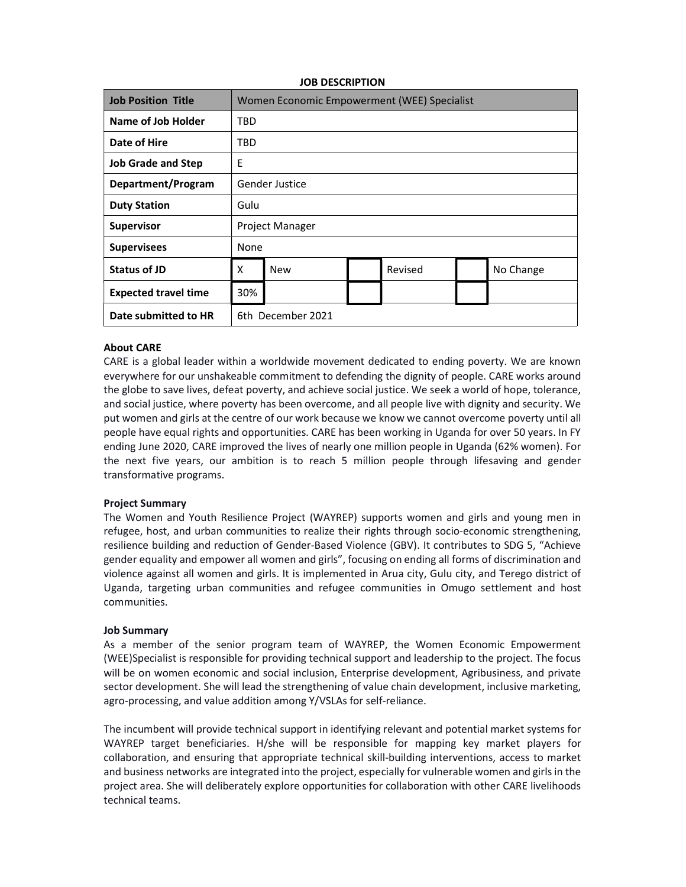| <b>Job Position Title</b>   | Women Economic Empowerment (WEE) Specialist |            |  |         |  |           |
|-----------------------------|---------------------------------------------|------------|--|---------|--|-----------|
| Name of Job Holder          | <b>TBD</b>                                  |            |  |         |  |           |
| Date of Hire                | <b>TBD</b>                                  |            |  |         |  |           |
| <b>Job Grade and Step</b>   | E                                           |            |  |         |  |           |
| Department/Program          | <b>Gender Justice</b>                       |            |  |         |  |           |
| <b>Duty Station</b>         | Gulu                                        |            |  |         |  |           |
| <b>Supervisor</b>           | Project Manager                             |            |  |         |  |           |
| <b>Supervisees</b>          | None                                        |            |  |         |  |           |
| Status of JD                | X                                           | <b>New</b> |  | Revised |  | No Change |
| <b>Expected travel time</b> | 30%                                         |            |  |         |  |           |
| Date submitted to HR        | 6th December 2021                           |            |  |         |  |           |

#### JOB DESCRIPTION

### About CARE

CARE is a global leader within a worldwide movement dedicated to ending poverty. We are known everywhere for our unshakeable commitment to defending the dignity of people. CARE works around the globe to save lives, defeat poverty, and achieve social justice. We seek a world of hope, tolerance, and social justice, where poverty has been overcome, and all people live with dignity and security. We put women and girls at the centre of our work because we know we cannot overcome poverty until all people have equal rights and opportunities. CARE has been working in Uganda for over 50 years. In FY ending June 2020, CARE improved the lives of nearly one million people in Uganda (62% women). For the next five years, our ambition is to reach 5 million people through lifesaving and gender transformative programs.

### Project Summary

The Women and Youth Resilience Project (WAYREP) supports women and girls and young men in refugee, host, and urban communities to realize their rights through socio-economic strengthening, resilience building and reduction of Gender-Based Violence (GBV). It contributes to SDG 5, "Achieve gender equality and empower all women and girls", focusing on ending all forms of discrimination and violence against all women and girls. It is implemented in Arua city, Gulu city, and Terego district of Uganda, targeting urban communities and refugee communities in Omugo settlement and host communities.

### Job Summary

As a member of the senior program team of WAYREP, the Women Economic Empowerment (WEE)Specialist is responsible for providing technical support and leadership to the project. The focus will be on women economic and social inclusion, Enterprise development, Agribusiness, and private sector development. She will lead the strengthening of value chain development, inclusive marketing, agro-processing, and value addition among Y/VSLAs for self-reliance.

The incumbent will provide technical support in identifying relevant and potential market systems for WAYREP target beneficiaries. H/she will be responsible for mapping key market players for collaboration, and ensuring that appropriate technical skill-building interventions, access to market and business networks are integrated into the project, especially for vulnerable women and girls in the project area. She will deliberately explore opportunities for collaboration with other CARE livelihoods technical teams.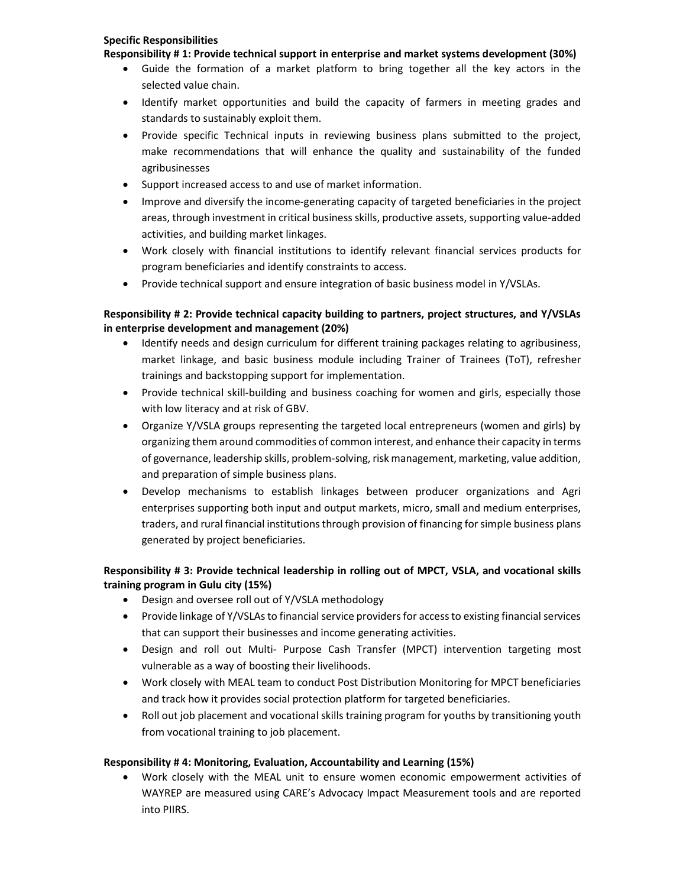## Specific Responsibilities

Responsibility # 1: Provide technical support in enterprise and market systems development (30%)

- Guide the formation of a market platform to bring together all the key actors in the selected value chain.
- Identify market opportunities and build the capacity of farmers in meeting grades and standards to sustainably exploit them.
- Provide specific Technical inputs in reviewing business plans submitted to the project, make recommendations that will enhance the quality and sustainability of the funded agribusinesses
- Support increased access to and use of market information.
- Improve and diversify the income-generating capacity of targeted beneficiaries in the project areas, through investment in critical business skills, productive assets, supporting value-added activities, and building market linkages.
- Work closely with financial institutions to identify relevant financial services products for program beneficiaries and identify constraints to access.
- Provide technical support and ensure integration of basic business model in Y/VSLAs.

# Responsibility # 2: Provide technical capacity building to partners, project structures, and Y/VSLAs in enterprise development and management (20%)

- Identify needs and design curriculum for different training packages relating to agribusiness, market linkage, and basic business module including Trainer of Trainees (ToT), refresher trainings and backstopping support for implementation.
- Provide technical skill-building and business coaching for women and girls, especially those with low literacy and at risk of GBV.
- Organize Y/VSLA groups representing the targeted local entrepreneurs (women and girls) by organizing them around commodities of common interest, and enhance their capacity in terms of governance, leadership skills, problem-solving, risk management, marketing, value addition, and preparation of simple business plans.
- Develop mechanisms to establish linkages between producer organizations and Agri enterprises supporting both input and output markets, micro, small and medium enterprises, traders, and rural financial institutions through provision of financing for simple business plans generated by project beneficiaries.

# Responsibility # 3: Provide technical leadership in rolling out of MPCT, VSLA, and vocational skills training program in Gulu city (15%)

- Design and oversee roll out of Y/VSLA methodology
- Provide linkage of Y/VSLAs to financial service providers for access to existing financial services that can support their businesses and income generating activities.
- Design and roll out Multi- Purpose Cash Transfer (MPCT) intervention targeting most vulnerable as a way of boosting their livelihoods.
- Work closely with MEAL team to conduct Post Distribution Monitoring for MPCT beneficiaries and track how it provides social protection platform for targeted beneficiaries.
- Roll out job placement and vocational skills training program for youths by transitioning youth from vocational training to job placement.

# Responsibility # 4: Monitoring, Evaluation, Accountability and Learning (15%)

 Work closely with the MEAL unit to ensure women economic empowerment activities of WAYREP are measured using CARE's Advocacy Impact Measurement tools and are reported into PIIRS.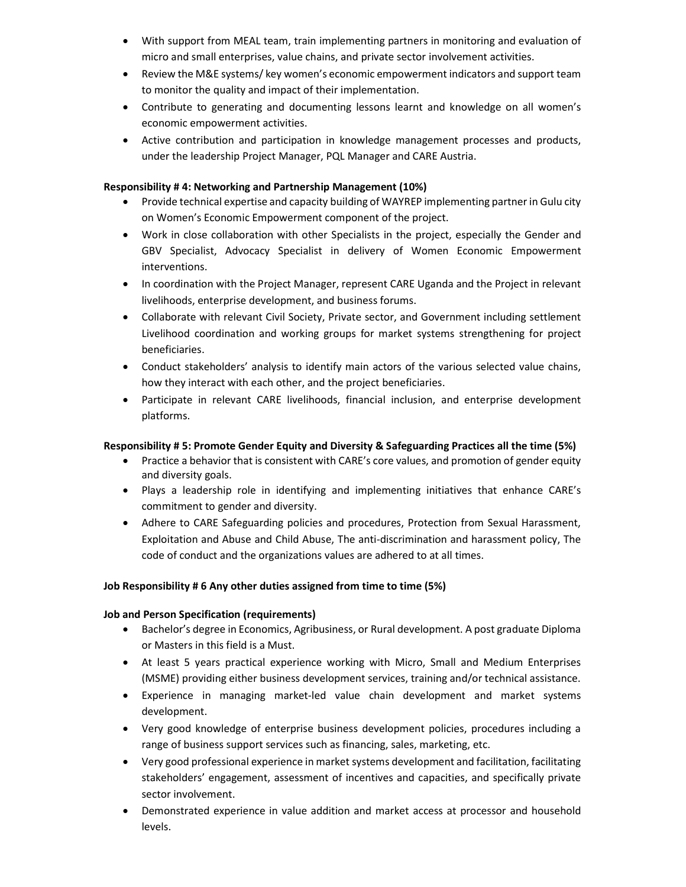- With support from MEAL team, train implementing partners in monitoring and evaluation of micro and small enterprises, value chains, and private sector involvement activities.
- Review the M&E systems/ key women's economic empowerment indicators and support team to monitor the quality and impact of their implementation.
- Contribute to generating and documenting lessons learnt and knowledge on all women's economic empowerment activities.
- Active contribution and participation in knowledge management processes and products, under the leadership Project Manager, PQL Manager and CARE Austria.

# Responsibility # 4: Networking and Partnership Management (10%)

- Provide technical expertise and capacity building of WAYREP implementing partner in Gulu city on Women's Economic Empowerment component of the project.
- Work in close collaboration with other Specialists in the project, especially the Gender and GBV Specialist, Advocacy Specialist in delivery of Women Economic Empowerment interventions.
- In coordination with the Project Manager, represent CARE Uganda and the Project in relevant livelihoods, enterprise development, and business forums.
- Collaborate with relevant Civil Society, Private sector, and Government including settlement Livelihood coordination and working groups for market systems strengthening for project beneficiaries.
- Conduct stakeholders' analysis to identify main actors of the various selected value chains, how they interact with each other, and the project beneficiaries.
- Participate in relevant CARE livelihoods, financial inclusion, and enterprise development platforms.

## Responsibility # 5: Promote Gender Equity and Diversity & Safeguarding Practices all the time (5%)

- Practice a behavior that is consistent with CARE's core values, and promotion of gender equity and diversity goals.
- Plays a leadership role in identifying and implementing initiatives that enhance CARE's commitment to gender and diversity.
- Adhere to CARE Safeguarding policies and procedures, Protection from Sexual Harassment, Exploitation and Abuse and Child Abuse, The anti-discrimination and harassment policy, The code of conduct and the organizations values are adhered to at all times.

# Job Responsibility # 6 Any other duties assigned from time to time (5%)

## Job and Person Specification (requirements)

- Bachelor's degree in Economics, Agribusiness, or Rural development. A post graduate Diploma or Masters in this field is a Must.
- At least 5 years practical experience working with Micro, Small and Medium Enterprises (MSME) providing either business development services, training and/or technical assistance.
- Experience in managing market-led value chain development and market systems development.
- Very good knowledge of enterprise business development policies, procedures including a range of business support services such as financing, sales, marketing, etc.
- Very good professional experience in market systems development and facilitation, facilitating stakeholders' engagement, assessment of incentives and capacities, and specifically private sector involvement.
- Demonstrated experience in value addition and market access at processor and household levels.